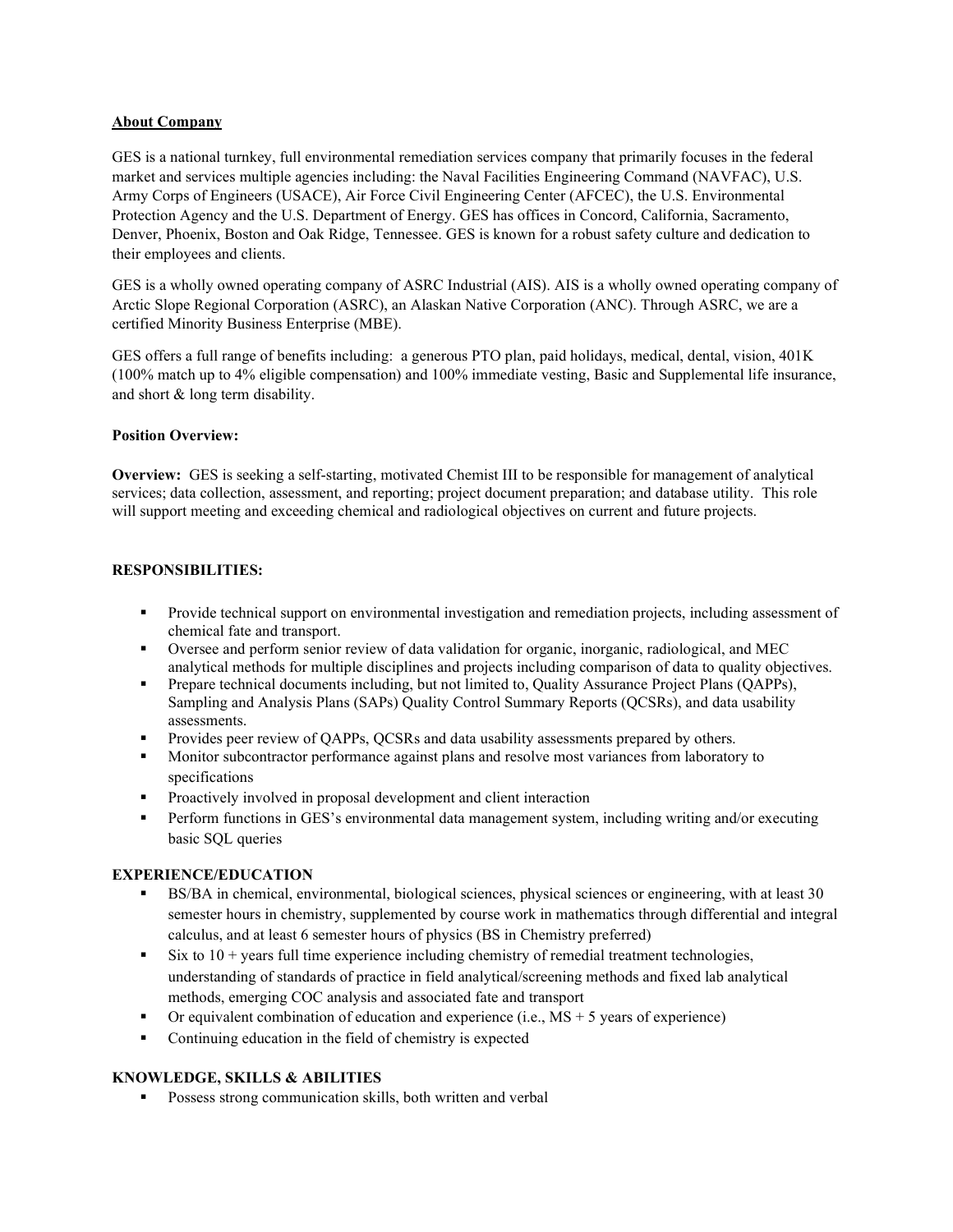## About Company

GES is a national turnkey, full environmental remediation services company that primarily focuses in the federal market and services multiple agencies including: the Naval Facilities Engineering Command (NAVFAC), U.S. Army Corps of Engineers (USACE), Air Force Civil Engineering Center (AFCEC), the U.S. Environmental Protection Agency and the U.S. Department of Energy. GES has offices in Concord, California, Sacramento, Denver, Phoenix, Boston and Oak Ridge, Tennessee. GES is known for a robust safety culture and dedication to their employees and clients.

GES is a wholly owned operating company of ASRC Industrial (AIS). AIS is a wholly owned operating company of Arctic Slope Regional Corporation (ASRC), an Alaskan Native Corporation (ANC). Through ASRC, we are a certified Minority Business Enterprise (MBE).

GES offers a full range of benefits including: a generous PTO plan, paid holidays, medical, dental, vision, 401K (100% match up to 4% eligible compensation) and 100% immediate vesting, Basic and Supplemental life insurance, and short & long term disability.

## Position Overview:

Overview: GES is seeking a self-starting, motivated Chemist III to be responsible for management of analytical services; data collection, assessment, and reporting; project document preparation; and database utility. This role will support meeting and exceeding chemical and radiological objectives on current and future projects.

# RESPONSIBILITIES:

- **Provide technical support on environmental investigation and remediation projects, including assessment of** chemical fate and transport.
- Oversee and perform senior review of data validation for organic, inorganic, radiological, and MEC analytical methods for multiple disciplines and projects including comparison of data to quality objectives.
- **Prepare technical documents including, but not limited to, Quality Assurance Project Plans (QAPPs),** Sampling and Analysis Plans (SAPs) Quality Control Summary Reports (QCSRs), and data usability assessments.
- **Provides peer review of OAPPs, OCSRs and data usability assessments prepared by others.**
- **Monitor subcontractor performance against plans and resolve most variances from laboratory to** specifications
- **Proactively involved in proposal development and client interaction**
- **Perform functions in GES's environmental data management system, including writing and/or executing** basic SQL queries

# EXPERIENCE/EDUCATION

- BS/BA in chemical, environmental, biological sciences, physical sciences or engineering, with at least 30 semester hours in chemistry, supplemented by course work in mathematics through differential and integral calculus, and at least 6 semester hours of physics (BS in Chemistry preferred)
- $\sim$  Six to 10 + years full time experience including chemistry of remedial treatment technologies, understanding of standards of practice in field analytical/screening methods and fixed lab analytical methods, emerging COC analysis and associated fate and transport
- $\blacksquare$  Or equivalent combination of education and experience (i.e., MS + 5 years of experience)
- Continuing education in the field of chemistry is expected

# KNOWLEDGE, SKILLS & ABILITIES

**Possess strong communication skills, both written and verbal**